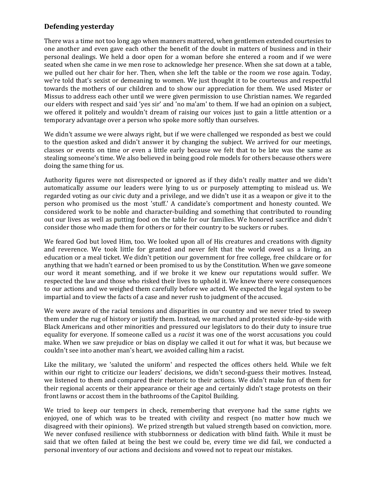## **Defending yesterday**

There was a time not too long ago when manners mattered, when gentlemen extended courtesies to one another and even gave each other the benefit of the doubt in matters of business and in their personal dealings. We held a door open for a woman before she entered a room and if we were seated when she came in we men rose to acknowledge her presence. When she sat down at a table, we pulled out her chair for her. Then, when she left the table or the room we rose again. Today, we're told that's sexist or demeaning to women. We just thought it to be courteous and respectful towards the mothers of our children and to show our appreciation for them. We used Mister or Missus to address each other until we were given permission to use Christian names. We regarded our elders with respect and said 'yes sir' and 'no ma'am' to them. If we had an opinion on a subject, we offered it politely and wouldn't dream of raising our voices just to gain a little attention or a temporary advantage over a person who spoke more softly than ourselves.

We didn't assume we were always right, but if we were challenged we responded as best we could to the question asked and didn't answer it by changing the subject. We arrived for our meetings, classes or events on time or even a little early because we felt that to be late was the same as stealing someone's time. We also believed in being good role models for others because others were doing the same thing for us.

Authority figures were not disrespected or ignored as if they didn't really matter and we didn't automatically assume our leaders were lying to us or purposely attempting to mislead us. We regarded voting as our civic duty and a privilege, and we didn't use it as a weapon or give it to the person who promised us the most 'stuff.' A candidate's comportment and honesty counted. We considered work to be noble and character-building and something that contributed to rounding out our lives as well as putting food on the table for our families. We honored sacrifice and didn't consider those who made them for others or for their country to be suckers or rubes.

We feared God but loved Him, too. We looked upon all of His creatures and creations with dignity and reverence. We took little for granted and never felt that the world owed us a living, an education or a meal ticket. We didn't petition our government for free college, free childcare or for anything that we hadn't earned or been promised to us by the Constitution. When we gave someone our word it meant something, and if we broke it we knew our reputations would suffer. We respected the law and those who risked their lives to uphold it. We knew there were consequences to our actions and we weighed them carefully before we acted. We expected the legal system to be impartial and to view the facts of a case and never rush to judgment of the accused.

We were aware of the racial tensions and disparities in our country and we never tried to sweep them under the rug of history or justify them. Instead, we marched and protested side-by-side with Black Americans and other minorities and pressured our legislators to do their duty to insure true equality for everyone. If someone called us a *racist* it was one of the worst accusations you could make. When we saw prejudice or bias on display we called it out for what it was, but because we couldn't see into another man's heart, we avoided calling him a racist.

Like the military, we 'saluted the uniform' and respected the offices others held. While we felt within our right to criticize our leaders' decisions, we didn't second-guess their motives. Instead, we listened to them and compared their rhetoric to their actions. We didn't make fun of them for their regional accents or their appearance or their age and certainly didn't stage protests on their front lawns or accost them in the bathrooms of the Capitol Building.

We tried to keep our tempers in check, remembering that everyone had the same rights we enjoyed, one of which was to be treated with civility and respect (no matter how much we disagreed with their opinions). We prized strength but valued strength based on conviction, more. We never confused resilience with stubbornness or dedication with blind faith. While it must be said that we often failed at being the best we could be, every time we did fail, we conducted a personal inventory of our actions and decisions and vowed not to repeat our mistakes.